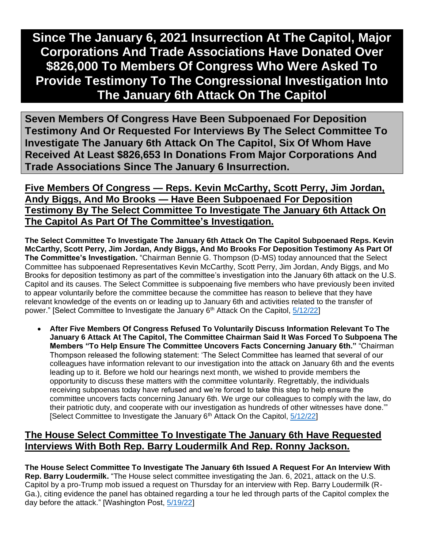# **Since The January 6, 2021 Insurrection At The Capitol, Major Corporations And Trade Associations Have Donated Over \$826,000 To Members Of Congress Who Were Asked To Provide Testimony To The Congressional Investigation Into The January 6th Attack On The Capitol**

**Seven Members Of Congress Have Been Subpoenaed For Deposition Testimony And Or Requested For Interviews By The Select Committee To Investigate The January 6th Attack On The Capitol, Six Of Whom Have Received At Least \$826,653 In Donations From Major Corporations And Trade Associations Since The January 6 Insurrection.**

**Five Members Of Congress — Reps. Kevin McCarthy, Scott Perry, Jim Jordan, Andy Biggs, And Mo Brooks — Have Been Subpoenaed For Deposition Testimony By The Select Committee To Investigate The January 6th Attack On The Capitol As Part Of The Committee's Investigation.**

**The Select Committee To Investigate The January 6th Attack On The Capitol Subpoenaed Reps. Kevin McCarthy, Scott Perry, Jim Jordan, Andy Biggs, And Mo Brooks For Deposition Testimony As Part Of The Committee's Investigation.** "Chairman Bennie G. Thompson (D-MS) today announced that the Select Committee has subpoenaed Representatives Kevin McCarthy, Scott Perry, Jim Jordan, Andy Biggs, and Mo Brooks for deposition testimony as part of the committee's investigation into the January 6th attack on the U.S. Capitol and its causes. The Select Committee is subpoenaing five members who have previously been invited to appear voluntarily before the committee because the committee has reason to believe that they have relevant knowledge of the events on or leading up to January 6th and activities related to the transfer of power." [Select Committee to Investigate the January 6<sup>th</sup> Attack On the Capitol, [5/12/22\]](https://january6th.house.gov/news/press-releases/select-committee-subpoenas-five-members-congress)

• **After Five Members Of Congress Refused To Voluntarily Discuss Information Relevant To The January 6 Attack At The Capitol, The Committee Chairman Said It Was Forced To Subpoena The Members "To Help Ensure The Committee Uncovers Facts Concerning January 6th."** "Chairman Thompson released the following statement: 'The Select Committee has learned that several of our colleagues have information relevant to our investigation into the attack on January 6th and the events leading up to it. Before we hold our hearings next month, we wished to provide members the opportunity to discuss these matters with the committee voluntarily. Regrettably, the individuals receiving subpoenas today have refused and we're forced to take this step to help ensure the committee uncovers facts concerning January 6th. We urge our colleagues to comply with the law, do their patriotic duty, and cooperate with our investigation as hundreds of other witnesses have done.'" [Select Committee to Investigate the January  $6<sup>th</sup>$  Attack On the Capitol,  $5/12/22$ ]

#### **The House Select Committee To Investigate The January 6th Have Requested Interviews With Both Rep. Barry Loudermilk And Rep. Ronny Jackson.**

**The House Select Committee To Investigate The January 6th Issued A Request For An Interview With Rep. Barry Loudermilk.** "The House select committee investigating the Jan. 6, 2021, attack on the U.S. Capitol by a pro-Trump mob issued a request on Thursday for an interview with Rep. Barry Loudermilk (R-Ga.), citing evidence the panel has obtained regarding a tour he led through parts of the Capitol complex the day before the attack." [Washington Post, [5/19/22\]](https://www.washingtonpost.com/politics/2022/05/19/loudermilk-jan6-committee/)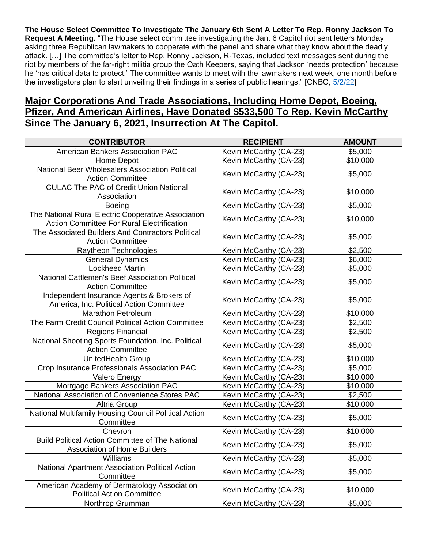**The House Select Committee To Investigate The January 6th Sent A Letter To Rep. Ronny Jackson To Request A Meeting.** "The House select committee investigating the Jan. 6 Capitol riot sent letters Monday asking three Republican lawmakers to cooperate with the panel and share what they know about the deadly attack. […] The committee's letter to Rep. Ronny Jackson, R-Texas, included text messages sent during the riot by members of the far-right militia group the Oath Keepers, saying that Jackson 'needs protection' because he 'has critical data to protect.' The committee wants to meet with the lawmakers next week, one month before the investigators plan to start unveiling their findings in a series of public hearings." [CNBC, [5/2/22\]](https://www.cnbc.com/2022/05/02/house-probe-of-jan-6-capitol-riot-contacts-gop-reps-jackson-brooks-biggs.html)

# **Major Corporations And Trade Associations, Including Home Depot, Boeing, Pfizer, And American Airlines, Have Donated \$533,500 To Rep. Kevin McCarthy Since The January 6, 2021, Insurrection At The Capitol.**

| <b>CONTRIBUTOR</b>                                                                                       | <b>RECIPIENT</b>       | <b>AMOUNT</b> |
|----------------------------------------------------------------------------------------------------------|------------------------|---------------|
| <b>American Bankers Association PAC</b>                                                                  | Kevin McCarthy (CA-23) | \$5,000       |
| Home Depot                                                                                               | Kevin McCarthy (CA-23) | \$10,000      |
| National Beer Wholesalers Association Political<br><b>Action Committee</b>                               | Kevin McCarthy (CA-23) | \$5,000       |
| <b>CULAC The PAC of Credit Union National</b><br>Association                                             | Kevin McCarthy (CA-23) | \$10,000      |
| <b>Boeing</b>                                                                                            | Kevin McCarthy (CA-23) | \$5,000       |
| The National Rural Electric Cooperative Association<br><b>Action Committee For Rural Electrification</b> | Kevin McCarthy (CA-23) | \$10,000      |
| The Associated Builders And Contractors Political<br><b>Action Committee</b>                             | Kevin McCarthy (CA-23) | \$5,000       |
| Raytheon Technologies                                                                                    | Kevin McCarthy (CA-23) | \$2,500       |
| <b>General Dynamics</b>                                                                                  | Kevin McCarthy (CA-23) | \$6,000       |
| <b>Lockheed Martin</b>                                                                                   | Kevin McCarthy (CA-23) | \$5,000       |
| National Cattlemen's Beef Association Political<br><b>Action Committee</b>                               | Kevin McCarthy (CA-23) | \$5,000       |
| Independent Insurance Agents & Brokers of<br>America, Inc. Political Action Committee                    | Kevin McCarthy (CA-23) | \$5,000       |
| <b>Marathon Petroleum</b>                                                                                | Kevin McCarthy (CA-23) | \$10,000      |
| The Farm Credit Council Political Action Committee                                                       | Kevin McCarthy (CA-23) | \$2,500       |
| Regions Financial                                                                                        | Kevin McCarthy (CA-23) | \$2,500       |
| National Shooting Sports Foundation, Inc. Political<br><b>Action Committee</b>                           | Kevin McCarthy (CA-23) | \$5,000       |
| UnitedHealth Group                                                                                       | Kevin McCarthy (CA-23) | \$10,000      |
| Crop Insurance Professionals Association PAC                                                             | Kevin McCarthy (CA-23) | \$5,000       |
| Valero Energy                                                                                            | Kevin McCarthy (CA-23) | \$10,000      |
| Mortgage Bankers Association PAC                                                                         | Kevin McCarthy (CA-23) | \$10,000      |
| National Association of Convenience Stores PAC                                                           | Kevin McCarthy (CA-23) | \$2,500       |
| Altria Group                                                                                             | Kevin McCarthy (CA-23) | \$10,000      |
| National Multifamily Housing Council Political Action<br>Committee                                       | Kevin McCarthy (CA-23) | \$5,000       |
| Chevron                                                                                                  | Kevin McCarthy (CA-23) | \$10,000      |
| <b>Build Political Action Committee of The National</b><br>Association of Home Builders                  | Kevin McCarthy (CA-23) | \$5,000       |
| Williams                                                                                                 | Kevin McCarthy (CA-23) | \$5,000       |
| National Apartment Association Political Action<br>Committee                                             | Kevin McCarthy (CA-23) | \$5,000       |
| American Academy of Dermatology Association<br><b>Political Action Committee</b>                         | Kevin McCarthy (CA-23) | \$10,000      |
| Northrop Grumman                                                                                         | Kevin McCarthy (CA-23) | \$5,000       |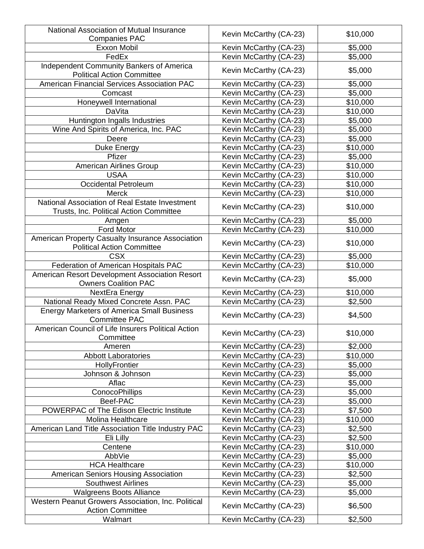| National Association of Mutual Insurance                                              |                        |          |
|---------------------------------------------------------------------------------------|------------------------|----------|
| <b>Companies PAC</b>                                                                  | Kevin McCarthy (CA-23) | \$10,000 |
| Exxon Mobil                                                                           | Kevin McCarthy (CA-23) | \$5,000  |
| FedEx                                                                                 | Kevin McCarthy (CA-23) | \$5,000  |
| Independent Community Bankers of America<br><b>Political Action Committee</b>         | Kevin McCarthy (CA-23) | \$5,000  |
| American Financial Services Association PAC                                           | Kevin McCarthy (CA-23) | \$5,000  |
| Comcast                                                                               | Kevin McCarthy (CA-23) | \$5,000  |
| Honeywell International                                                               | Kevin McCarthy (CA-23) | \$10,000 |
| <b>DaVita</b>                                                                         | Kevin McCarthy (CA-23) | \$10,000 |
| Huntington Ingalls Industries                                                         | Kevin McCarthy (CA-23) | \$5,000  |
| Wine And Spirits of America, Inc. PAC                                                 | Kevin McCarthy (CA-23) | \$5,000  |
| Deere                                                                                 | Kevin McCarthy (CA-23) | \$5,000  |
| Duke Energy                                                                           | Kevin McCarthy (CA-23) | \$10,000 |
| Pfizer                                                                                | Kevin McCarthy (CA-23) | \$5,000  |
| <b>American Airlines Group</b>                                                        | Kevin McCarthy (CA-23) | \$10,000 |
| <b>USAA</b>                                                                           | Kevin McCarthy (CA-23) | \$10,000 |
| <b>Occidental Petroleum</b>                                                           | Kevin McCarthy (CA-23) | \$10,000 |
| Merck                                                                                 | Kevin McCarthy (CA-23) | \$10,000 |
| National Association of Real Estate Investment                                        |                        |          |
| Trusts, Inc. Political Action Committee                                               | Kevin McCarthy (CA-23) | \$10,000 |
| Amgen                                                                                 | Kevin McCarthy (CA-23) | \$5,000  |
| Ford Motor                                                                            | Kevin McCarthy (CA-23) | \$10,000 |
| American Property Casualty Insurance Association<br><b>Political Action Committee</b> | Kevin McCarthy (CA-23) | \$10,000 |
| <b>CSX</b>                                                                            | Kevin McCarthy (CA-23) | \$5,000  |
| Federation of American Hospitals PAC                                                  | Kevin McCarthy (CA-23) | \$10,000 |
| American Resort Development Association Resort<br><b>Owners Coalition PAC</b>         | Kevin McCarthy (CA-23) | \$5,000  |
| NextEra Energy                                                                        | Kevin McCarthy (CA-23) | \$10,000 |
| National Ready Mixed Concrete Assn. PAC                                               | Kevin McCarthy (CA-23) | \$2,500  |
| <b>Energy Marketers of America Small Business</b><br><b>Committee PAC</b>             | Kevin McCarthy (CA-23) | \$4,500  |
| American Council of Life Insurers Political Action<br>Committee                       | Kevin McCarthy (CA-23) | \$10,000 |
| Ameren                                                                                | Kevin McCarthy (CA-23) | \$2,000  |
| <b>Abbott Laboratories</b>                                                            | Kevin McCarthy (CA-23) | \$10,000 |
| HollyFrontier                                                                         | Kevin McCarthy (CA-23) | \$5,000  |
| Johnson & Johnson                                                                     | Kevin McCarthy (CA-23) | \$5,000  |
| Aflac                                                                                 | Kevin McCarthy (CA-23) | \$5,000  |
| <b>ConocoPhillips</b>                                                                 | Kevin McCarthy (CA-23) | \$5,000  |
| Beef-PAC                                                                              | Kevin McCarthy (CA-23) | \$5,000  |
| POWERPAC of The Edison Electric Institute                                             | Kevin McCarthy (CA-23) | \$7,500  |
| Molina Healthcare                                                                     | Kevin McCarthy (CA-23) | \$10,000 |
| American Land Title Association Title Industry PAC                                    | Kevin McCarthy (CA-23) | \$2,500  |
| Eli Lilly                                                                             | Kevin McCarthy (CA-23) | \$2,500  |
| Centene                                                                               | Kevin McCarthy (CA-23) | \$10,000 |
| AbbVie                                                                                | Kevin McCarthy (CA-23) | \$5,000  |
| <b>HCA Healthcare</b>                                                                 | Kevin McCarthy (CA-23) | \$10,000 |
| American Seniors Housing Association                                                  | Kevin McCarthy (CA-23) | \$2,500  |
| <b>Southwest Airlines</b>                                                             | Kevin McCarthy (CA-23) | \$5,000  |
| <b>Walgreens Boots Alliance</b>                                                       | Kevin McCarthy (CA-23) | \$5,000  |
| Western Peanut Growers Association, Inc. Political<br><b>Action Committee</b>         | Kevin McCarthy (CA-23) | \$6,500  |
| Walmart                                                                               | Kevin McCarthy (CA-23) | \$2,500  |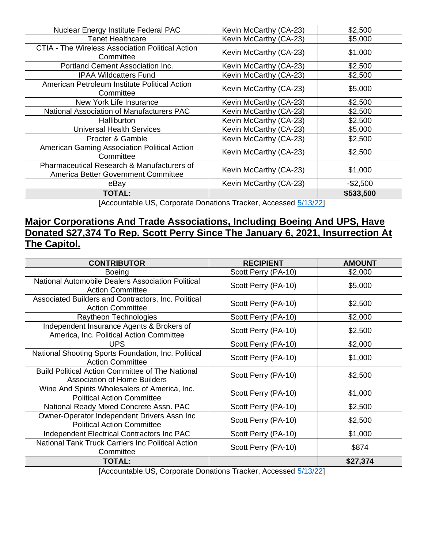| Nuclear Energy Institute Federal PAC                                                         | Kevin McCarthy (CA-23) | \$2,500   |
|----------------------------------------------------------------------------------------------|------------------------|-----------|
| <b>Tenet Healthcare</b>                                                                      | Kevin McCarthy (CA-23) | \$5,000   |
| <b>CTIA - The Wireless Association Political Action</b><br>Committee                         | Kevin McCarthy (CA-23) | \$1,000   |
| Portland Cement Association Inc.                                                             | Kevin McCarthy (CA-23) | \$2,500   |
| <b>IPAA Wildcatters Fund</b>                                                                 | Kevin McCarthy (CA-23) | \$2,500   |
| American Petroleum Institute Political Action<br>Committee                                   | Kevin McCarthy (CA-23) | \$5,000   |
| New York Life Insurance                                                                      | Kevin McCarthy (CA-23) | \$2,500   |
| National Association of Manufacturers PAC                                                    | Kevin McCarthy (CA-23) | \$2,500   |
| <b>Halliburton</b>                                                                           | Kevin McCarthy (CA-23) | \$2,500   |
| <b>Universal Health Services</b>                                                             | Kevin McCarthy (CA-23) | \$5,000   |
| Procter & Gamble                                                                             | Kevin McCarthy (CA-23) | \$2,500   |
| American Gaming Association Political Action<br>Committee                                    | Kevin McCarthy (CA-23) | \$2,500   |
| <b>Pharmaceutical Research &amp; Manufacturers of</b><br>America Better Government Committee | Kevin McCarthy (CA-23) | \$1,000   |
| eBay                                                                                         | Kevin McCarthy (CA-23) | $-$2,500$ |
| <b>TOTAL:</b>                                                                                |                        | \$533,500 |

[Accountable.US, Corporate Donations Tracker, Accessed [5/13/22\]](https://www.accountable.us/corporate-donations-tracker/)

# **Major Corporations And Trade Associations, Including Boeing And UPS, Have Donated \$27,374 To Rep. Scott Perry Since The January 6, 2021, Insurrection At The Capitol.**

| <b>CONTRIBUTOR</b>                                                                             | <b>RECIPIENT</b>    | <b>AMOUNT</b> |
|------------------------------------------------------------------------------------------------|---------------------|---------------|
| <b>Boeing</b>                                                                                  | Scott Perry (PA-10) | \$2,000       |
| National Automobile Dealers Association Political<br><b>Action Committee</b>                   | Scott Perry (PA-10) | \$5,000       |
| Associated Builders and Contractors, Inc. Political<br><b>Action Committee</b>                 | Scott Perry (PA-10) | \$2,500       |
| Raytheon Technologies                                                                          | Scott Perry (PA-10) | \$2,000       |
| Independent Insurance Agents & Brokers of<br>America, Inc. Political Action Committee          | Scott Perry (PA-10) | \$2,500       |
| <b>UPS</b>                                                                                     | Scott Perry (PA-10) | \$2,000       |
| National Shooting Sports Foundation, Inc. Political<br><b>Action Committee</b>                 | Scott Perry (PA-10) | \$1,000       |
| <b>Build Political Action Committee of The National</b><br><b>Association of Home Builders</b> | Scott Perry (PA-10) | \$2,500       |
| Wine And Spirits Wholesalers of America, Inc.<br><b>Political Action Committee</b>             | Scott Perry (PA-10) | \$1,000       |
| National Ready Mixed Concrete Assn. PAC                                                        | Scott Perry (PA-10) | \$2,500       |
| Owner-Operator Independent Drivers Assn Inc<br><b>Political Action Committee</b>               | Scott Perry (PA-10) | \$2,500       |
| Independent Electrical Contractors Inc PAC                                                     | Scott Perry (PA-10) | \$1,000       |
| National Tank Truck Carriers Inc Political Action<br>Committee                                 | Scott Perry (PA-10) | \$874         |
| <b>TOTAL:</b>                                                                                  |                     | \$27,374      |

[Accountable.US, Corporate Donations Tracker, Accessed [5/13/22\]](https://www.accountable.us/corporate-donations-tracker/)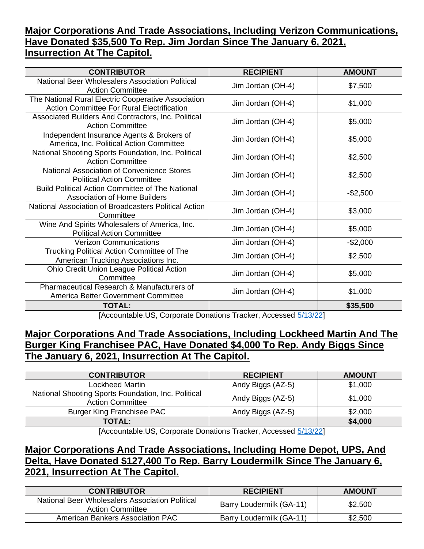# **Major Corporations And Trade Associations, Including Verizon Communications, Have Donated \$35,500 To Rep. Jim Jordan Since The January 6, 2021, Insurrection At The Capitol.**

| <b>CONTRIBUTOR</b>                                                                                       | <b>RECIPIENT</b>                                            | <b>AMOUNT</b> |
|----------------------------------------------------------------------------------------------------------|-------------------------------------------------------------|---------------|
| National Beer Wholesalers Association Political<br><b>Action Committee</b>                               | Jim Jordan (OH-4)                                           | \$7,500       |
| The National Rural Electric Cooperative Association<br><b>Action Committee For Rural Electrification</b> | Jim Jordan (OH-4)                                           | \$1,000       |
| Associated Builders And Contractors, Inc. Political<br><b>Action Committee</b>                           | Jim Jordan (OH-4)                                           | \$5,000       |
| Independent Insurance Agents & Brokers of<br>America, Inc. Political Action Committee                    | Jim Jordan (OH-4)                                           | \$5,000       |
| National Shooting Sports Foundation, Inc. Political<br><b>Action Committee</b>                           | Jim Jordan (OH-4)                                           | \$2,500       |
| National Association of Convenience Stores<br><b>Political Action Committee</b>                          | Jim Jordan (OH-4)                                           | \$2,500       |
| <b>Build Political Action Committee of The National</b><br><b>Association of Home Builders</b>           | Jim Jordan (OH-4)                                           | $-$2,500$     |
| National Association of Broadcasters Political Action<br>Committee                                       | Jim Jordan (OH-4)                                           | \$3,000       |
| Wine And Spirits Wholesalers of America, Inc.<br><b>Political Action Committee</b>                       | Jim Jordan (OH-4)                                           | \$5,000       |
| <b>Verizon Communications</b>                                                                            | Jim Jordan (OH-4)                                           | $-$2,000$     |
| Trucking Political Action Committee of The<br>American Trucking Associations Inc.                        | Jim Jordan (OH-4)                                           | \$2,500       |
| Ohio Credit Union League Political Action<br>Committee                                                   | Jim Jordan (OH-4)                                           | \$5,000       |
| <b>Pharmaceutical Research &amp; Manufacturers of</b><br>America Better Government Committee             | Jim Jordan (OH-4)                                           | \$1,000       |
| <b>TOTAL:</b>                                                                                            | cuptable LIO, Osmanata Depatiens Tracker, Associate (40/00) | \$35,500      |

[Accountable.US, Corporate Donations Tracker, Accessed [5/13/22\]](https://www.accountable.us/corporate-donations-tracker/)

## **Major Corporations And Trade Associations, Including Lockheed Martin And The Burger King Franchisee PAC, Have Donated \$4,000 To Rep. Andy Biggs Since The January 6, 2021, Insurrection At The Capitol.**

| <b>CONTRIBUTOR</b>                                                             | <b>RECIPIENT</b>  | <b>AMOUNT</b> |
|--------------------------------------------------------------------------------|-------------------|---------------|
| <b>Lockheed Martin</b>                                                         | Andy Biggs (AZ-5) | \$1,000       |
| National Shooting Sports Foundation, Inc. Political<br><b>Action Committee</b> | Andy Biggs (AZ-5) | \$1,000       |
| <b>Burger King Franchisee PAC</b>                                              | Andy Biggs (AZ-5) | \$2,000       |
| <b>TOTAL:</b>                                                                  |                   | \$4,000       |

[Accountable.US, Corporate Donations Tracker, Accessed [5/13/22\]](https://www.accountable.us/corporate-donations-tracker/)

# **Major Corporations And Trade Associations, Including Home Depot, UPS, And Delta, Have Donated \$127,400 To Rep. Barry Loudermilk Since The January 6, 2021, Insurrection At The Capitol.**

| <b>CONTRIBUTOR</b>                                                         | <b>RECIPIENT</b>         | <b>AMOUNT</b> |
|----------------------------------------------------------------------------|--------------------------|---------------|
| National Beer Wholesalers Association Political<br><b>Action Committee</b> | Barry Loudermilk (GA-11) | \$2,500       |
| American Bankers Association PAC                                           | Barry Loudermilk (GA-11) | \$2,500       |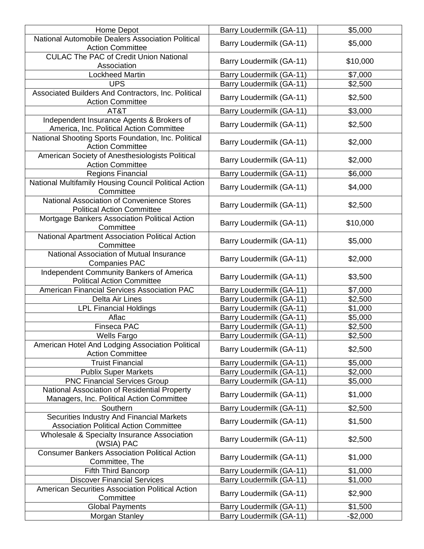| Home Depot                                                                                 | Barry Loudermilk (GA-11) | \$5,000   |
|--------------------------------------------------------------------------------------------|--------------------------|-----------|
| National Automobile Dealers Association Political<br><b>Action Committee</b>               | Barry Loudermilk (GA-11) | \$5,000   |
| <b>CULAC The PAC of Credit Union National</b><br>Association                               | Barry Loudermilk (GA-11) | \$10,000  |
| <b>Lockheed Martin</b>                                                                     | Barry Loudermilk (GA-11) | \$7,000   |
| <b>UPS</b>                                                                                 | Barry Loudermilk (GA-11) | \$2,500   |
| Associated Builders And Contractors, Inc. Political<br><b>Action Committee</b>             | Barry Loudermilk (GA-11) | \$2,500   |
| AT&T                                                                                       | Barry Loudermilk (GA-11) | \$3,000   |
| Independent Insurance Agents & Brokers of<br>America, Inc. Political Action Committee      | Barry Loudermilk (GA-11) | \$2,500   |
| National Shooting Sports Foundation, Inc. Political<br><b>Action Committee</b>             | Barry Loudermilk (GA-11) | \$2,000   |
| American Society of Anesthesiologists Political<br><b>Action Committee</b>                 | Barry Loudermilk (GA-11) | \$2,000   |
| Regions Financial                                                                          | Barry Loudermilk (GA-11) | \$6,000   |
| National Multifamily Housing Council Political Action<br>Committee                         | Barry Loudermilk (GA-11) | \$4,000   |
| National Association of Convenience Stores<br><b>Political Action Committee</b>            | Barry Loudermilk (GA-11) | \$2,500   |
| Mortgage Bankers Association Political Action<br>Committee                                 | Barry Loudermilk (GA-11) | \$10,000  |
| National Apartment Association Political Action<br>Committee                               | Barry Loudermilk (GA-11) | \$5,000   |
| National Association of Mutual Insurance<br><b>Companies PAC</b>                           | Barry Loudermilk (GA-11) | \$2,000   |
| Independent Community Bankers of America<br><b>Political Action Committee</b>              | Barry Loudermilk (GA-11) | \$3,500   |
| American Financial Services Association PAC                                                | Barry Loudermilk (GA-11) | \$7,000   |
| Delta Air Lines                                                                            | Barry Loudermilk (GA-11) | \$2,500   |
| <b>LPL Financial Holdings</b>                                                              | Barry Loudermilk (GA-11) | \$1,000   |
| Aflac                                                                                      | Barry Loudermilk (GA-11) | \$5,000   |
| <b>Finseca PAC</b>                                                                         | Barry Loudermilk (GA-11) | \$2,500   |
| <b>Wells Fargo</b>                                                                         | Barry Loudermilk (GA-11) | \$2,500   |
| American Hotel And Lodging Association Political<br><b>Action Committee</b>                | Barry Loudermilk (GA-11) | \$2,500   |
| <b>Truist Financial</b>                                                                    | Barry Loudermilk (GA-11) | \$5,000   |
| <b>Publix Super Markets</b>                                                                | Barry Loudermilk (GA-11) | \$2,000   |
| <b>PNC Financial Services Group</b>                                                        | Barry Loudermilk (GA-11) | \$5,000   |
| National Association of Residential Property<br>Managers, Inc. Political Action Committee  | Barry Loudermilk (GA-11) | \$1,000   |
| Southern                                                                                   | Barry Loudermilk (GA-11) | \$2,500   |
| Securities Industry And Financial Markets<br><b>Association Political Action Committee</b> | Barry Loudermilk (GA-11) | \$1,500   |
| Wholesale & Specialty Insurance Association<br>(WSIA) PAC                                  | Barry Loudermilk (GA-11) | \$2,500   |
| <b>Consumer Bankers Association Political Action</b><br>Committee, The                     | Barry Loudermilk (GA-11) | \$1,000   |
| <b>Fifth Third Bancorp</b>                                                                 | Barry Loudermilk (GA-11) | \$1,000   |
| <b>Discover Financial Services</b>                                                         | Barry Loudermilk (GA-11) | \$1,000   |
| American Securities Association Political Action<br>Committee                              | Barry Loudermilk (GA-11) | \$2,900   |
| <b>Global Payments</b>                                                                     | Barry Loudermilk (GA-11) | \$1,500   |
| Morgan Stanley                                                                             | Barry Loudermilk (GA-11) | $-$2,000$ |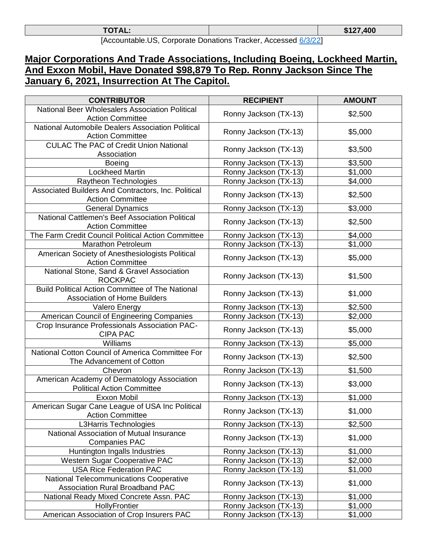| <b>TOTAL:</b>        |  |  |                             | \$127,400 |
|----------------------|--|--|-----------------------------|-----------|
| $\cdots$<br>. .<br>. |  |  | $\sim$ $\sim$ $\sim$ $\sim$ |           |

[Accountable.US, Corporate Donations Tracker, Accessed [6/3/22\]](https://www.accountable.us/corporate-donations-tracker/)

# **Major Corporations And Trade Associations, Including Boeing, Lockheed Martin, And Exxon Mobil, Have Donated \$98,879 To Rep. Ronny Jackson Since The January 6, 2021, Insurrection At The Capitol.**

| <b>CONTRIBUTOR</b>                                                                             | <b>RECIPIENT</b>      | <b>AMOUNT</b> |
|------------------------------------------------------------------------------------------------|-----------------------|---------------|
| National Beer Wholesalers Association Political<br><b>Action Committee</b>                     | Ronny Jackson (TX-13) | \$2,500       |
| National Automobile Dealers Association Political<br><b>Action Committee</b>                   | Ronny Jackson (TX-13) | \$5,000       |
| <b>CULAC The PAC of Credit Union National</b><br>Association                                   | Ronny Jackson (TX-13) | \$3,500       |
| <b>Boeing</b>                                                                                  | Ronny Jackson (TX-13) | \$3,500       |
| <b>Lockheed Martin</b>                                                                         | Ronny Jackson (TX-13) | \$1,000       |
| Raytheon Technologies                                                                          | Ronny Jackson (TX-13) | \$4,000       |
| Associated Builders And Contractors, Inc. Political<br><b>Action Committee</b>                 | Ronny Jackson (TX-13) | \$2,500       |
| <b>General Dynamics</b>                                                                        | Ronny Jackson (TX-13) | \$3,000       |
| National Cattlemen's Beef Association Political<br><b>Action Committee</b>                     | Ronny Jackson (TX-13) | \$2,500       |
| The Farm Credit Council Political Action Committee                                             | Ronny Jackson (TX-13) | \$4,000       |
| <b>Marathon Petroleum</b>                                                                      | Ronny Jackson (TX-13) | \$1,000       |
| American Society of Anesthesiologists Political<br><b>Action Committee</b>                     | Ronny Jackson (TX-13) | \$5,000       |
| National Stone, Sand & Gravel Association<br><b>ROCKPAC</b>                                    | Ronny Jackson (TX-13) | \$1,500       |
| <b>Build Political Action Committee of The National</b><br><b>Association of Home Builders</b> | Ronny Jackson (TX-13) | \$1,000       |
| <b>Valero Energy</b>                                                                           | Ronny Jackson (TX-13) | \$2,500       |
| American Council of Engineering Companies                                                      | Ronny Jackson (TX-13) | \$2,000       |
| Crop Insurance Professionals Association PAC-<br><b>CIPA PAC</b>                               | Ronny Jackson (TX-13) | \$5,000       |
| Williams                                                                                       | Ronny Jackson (TX-13) | \$5,000       |
| National Cotton Council of America Committee For<br>The Advancement of Cotton                  | Ronny Jackson (TX-13) | \$2,500       |
| Chevron                                                                                        | Ronny Jackson (TX-13) | \$1,500       |
| American Academy of Dermatology Association<br><b>Political Action Committee</b>               | Ronny Jackson (TX-13) | \$3,000       |
| Exxon Mobil                                                                                    | Ronny Jackson (TX-13) | \$1,000       |
| American Sugar Cane League of USA Inc Political<br><b>Action Committee</b>                     | Ronny Jackson (TX-13) | \$1,000       |
| L3Harris Technologies                                                                          | Ronny Jackson (TX-13) | \$2,500       |
| National Association of Mutual Insurance<br><b>Companies PAC</b>                               | Ronny Jackson (TX-13) | \$1,000       |
| Huntington Ingalls Industries                                                                  | Ronny Jackson (TX-13) | \$1,000       |
| <b>Western Sugar Cooperative PAC</b>                                                           | Ronny Jackson (TX-13) | \$2,000       |
| <b>USA Rice Federation PAC</b>                                                                 | Ronny Jackson (TX-13) | \$1,000       |
| <b>National Telecommunications Cooperative</b><br>Association Rural Broadband PAC              | Ronny Jackson (TX-13) | \$1,000       |
| National Ready Mixed Concrete Assn. PAC                                                        | Ronny Jackson (TX-13) | \$1,000       |
| HollyFrontier                                                                                  | Ronny Jackson (TX-13) | \$1,000       |
| American Association of Crop Insurers PAC                                                      | Ronny Jackson (TX-13) | \$1,000       |